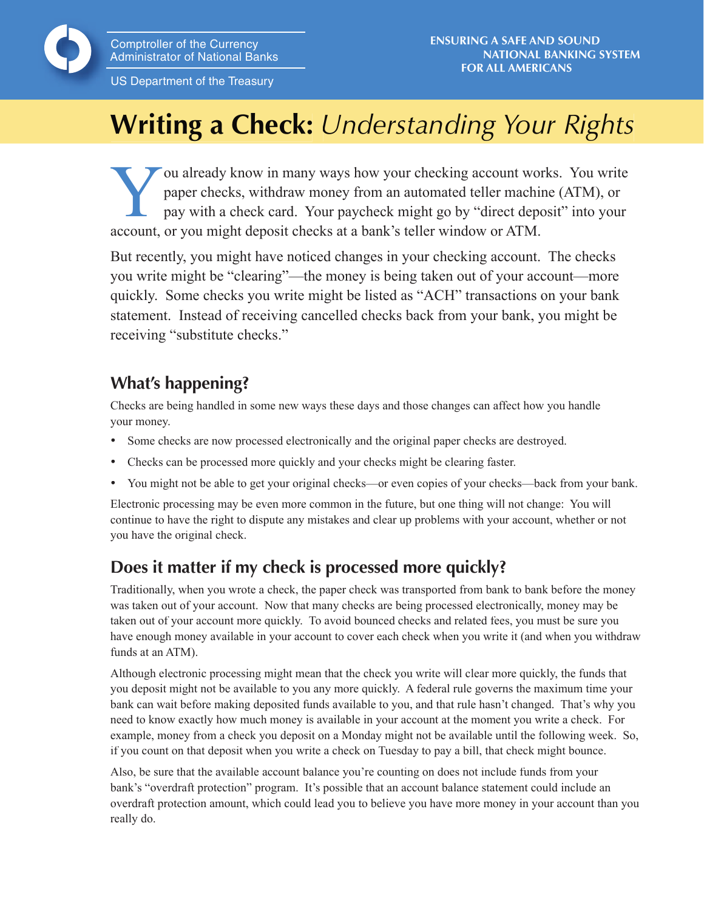US Department of the Treasury

# **Writing a Check:** *Understanding Your Rights*

You already know in many ways how your checking account works. You write<br>paper checks, withdraw money from an automated teller machine (ATM), or<br>pay with a check card. Your paycheck might go by "direct deposit" into your<br>s paper checks, withdraw money from an automated teller machine (ATM), or pay with a check card. Your paycheck might go by "direct deposit" into your account, or you might deposit checks at a bank's teller window or ATM.

But recently, you might have noticed changes in your checking account. The checks you write might be "clearing"—the money is being taken out of your account—more quickly. Some checks you write might be listed as "ACH" transactions on your bank statement. Instead of receiving cancelled checks back from your bank, you might be receiving "substitute checks."

# **What's happening?**

Checks are being handled in some new ways these days and those changes can affect how you handle your money.

- Some checks are now processed electronically and the original paper checks are destroyed.
- Checks can be processed more quickly and your checks might be clearing faster.
- You might not be able to get your original checks—or even copies of your checks—back from your bank.

Electronic processing may be even more common in the future, but one thing will not change: You will continue to have the right to dispute any mistakes and clear up problems with your account, whether or not you have the original check.

## **Does it matter if my check is processed more quickly?**

Traditionally, when you wrote a check, the paper check was transported from bank to bank before the money was taken out of your account. Now that many checks are being processed electronically, money may be taken out of your account more quickly. To avoid bounced checks and related fees, you must be sure you have enough money available in your account to cover each check when you write it (and when you withdraw funds at an ATM).

Although electronic processing might mean that the check you write will clear more quickly, the funds that you deposit might not be available to you any more quickly. A federal rule governs the maximum time your bank can wait before making deposited funds available to you, and that rule hasn't changed. That's why you need to know exactly how much money is available in your account at the moment you write a check. For example, money from a check you deposit on a Monday might not be available until the following week. So, if you count on that deposit when you write a check on Tuesday to pay a bill, that check might bounce.

Also, be sure that the available account balance you're counting on does not include funds from your bank's "overdraft protection" program. It's possible that an account balance statement could include an overdraft protection amount, which could lead you to believe you have more money in your account than you really do.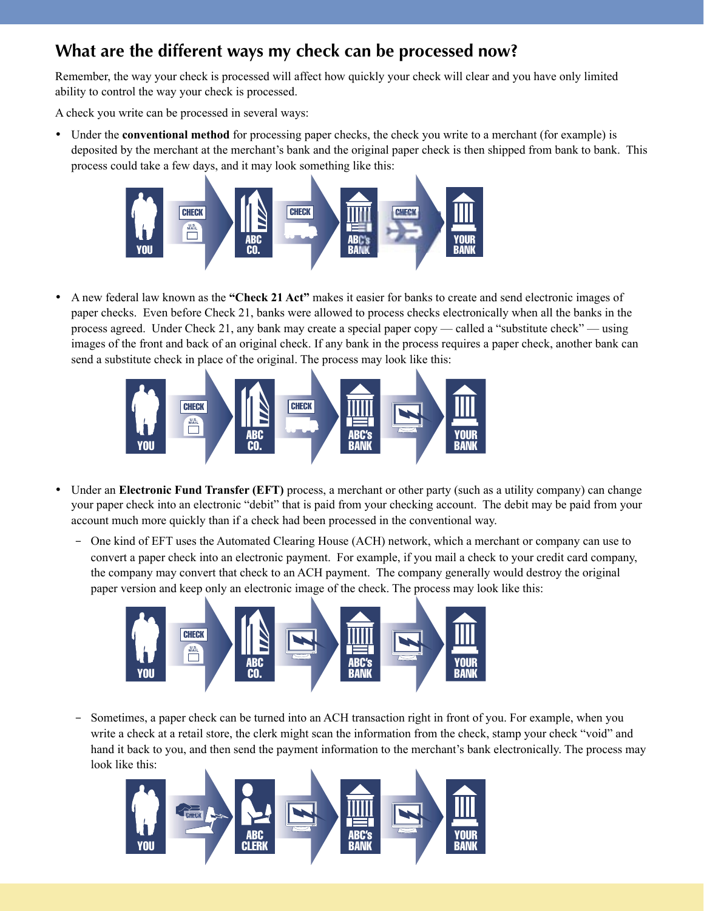## What are the different ways my check can be processed now?

Remember, the way your check is processed will affect how quickly your check will clear and you have only limited ability to control the way your check is processed.

A check you write can be processed in several ways:

• Under the **conventional method** for processing paper checks, the check you write to a merchant (for example) is deposited by the merchant at the merchant's bank and the original paper check is then shipped from bank to bank. This process could take a few days, and it may look something like this:



A new federal law known as the "Check 21 Act" makes it easier for banks to create and send electronic images of paper checks. Even before Check 21, banks were allowed to process checks electronically when all the banks in the process agreed. Under Check 21, any bank may create a special paper copy — called a "substitute check" — using images of the front and back of an original check. If any bank in the process requires a paper check, another bank can send a substitute check in place of the original. The process may look like this:



- Under an Electronic Fund Transfer (EFT) process, a merchant or other party (such as a utility company) can change your paper check into an electronic "debit" that is paid from your checking account. The debit may be paid from your account much more quickly than if a check had been processed in the conventional way.
	- One kind of EFT uses the Automated Clearing House (ACH) network, which a merchant or company can use to convert a paper check into an electronic payment. For example, if you mail a check to your credit card company, the company may convert that check to an ACH payment. The company generally would destroy the original paper version and keep only an electronic image of the check. The process may look like this:



Sometimes, a paper check can be turned into an ACH transaction right in front of you. For example, when you write a check at a retail store, the clerk might scan the information from the check, stamp your check "void" and hand it back to you, and then send the payment information to the merchant's bank electronically. The process may look like this:

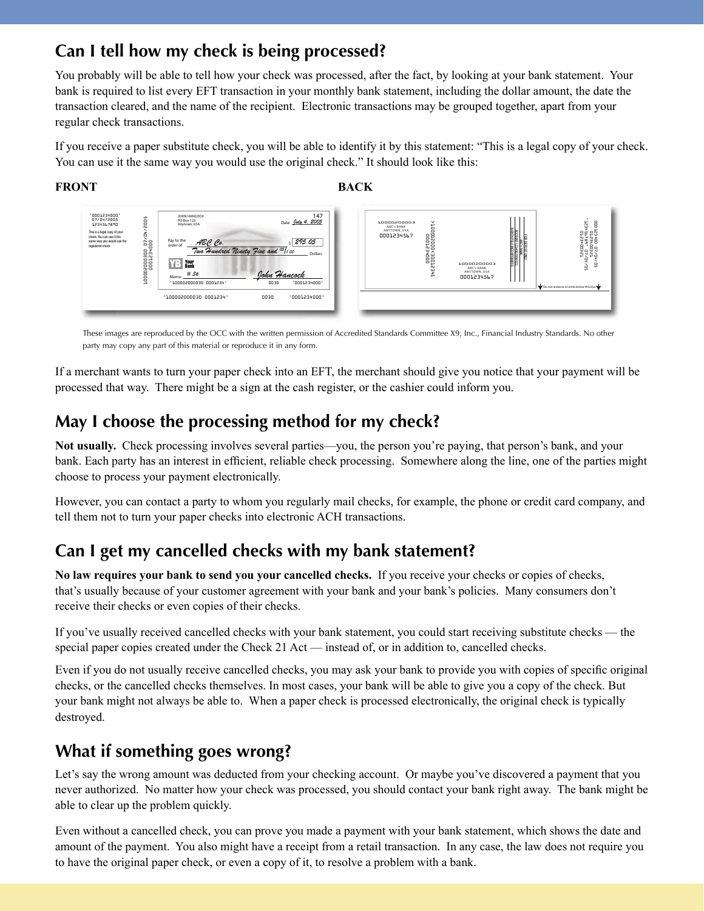#### Can I tell how my check is being processed?

You probably will be able to tell how your check was processed, after the fact, by looking at your bank statement. Your bank is required to list every EFT transaction in your monthly bank statement, including the dollar amount, the date the transaction cleared, and the name of the recipient. Electronic transactions may be grouped together, apart from your regular check transactions.

If you receive a paper substitute check, you will be able to identify it by this statement: "This is a legal copy of your check. You can use it the same way you would use the original check." It should look like this:







These images are reproduced by the OCC with the written permission of Accredited Standards Committee X9, Inc., Financial Industry Standards. No other party may copy any part of this material or reproduce it in any form.

If a merchant wants to turn your paper check into an EFT, the merchant should give you notice that your payment will be processed that way. There might be a sign at the cash register, or the cashier could inform you.

## May I choose the processing method for my check?

Not usually. Check processing involves several parties—you, the person you're paying, that person's bank, and your bank. Each party has an interest in efficient, reliable check processing. Somewhere along the line, one of the parties might choose to process your payment electronically.

However, you can contact a party to whom you regularly mail checks, for example, the phone or credit card company, and tell them not to turn your paper checks into electronic ACH transactions.

## Can I get my cancelled checks with my bank statement?

No law requires your bank to send you your cancelled checks. If you receive your checks or copies of checks, that's usually because of your customer agreement with your bank and your bank's policies. Many consumers don't receive their checks or even copies of their checks.

If you've usually received cancelled checks with your bank statement, you could start receiving substitute checks — the special paper copies created under the Check 21 Act — instead of, or in addition to, cancelled checks.

Even if you do not usually receive cancelled checks, you may ask your bank to provide you with copies of specific original checks, or the cancelled checks themselves. In most cases, your bank will be able to give you a copy of the check. But your bank might not always be able to. When a paper check is processed electronically, the original check is typically destroyed.

#### What if something goes wrong?

Let's say the wrong amount was deducted from your checking account. Or maybe you've discovered a payment that you never authorized. No matter how your check was processed, you should contact your bank right away. The bank might be able to clear up the problem quickly.

Even without a cancelled check, you can prove you made a payment with your bank statement, which shows the date and amount of the payment. You also might have a receipt from a retail transaction. In any case, the law does not require you to have the original paper check, or even a copy of it, to resolve a problem with a bank.